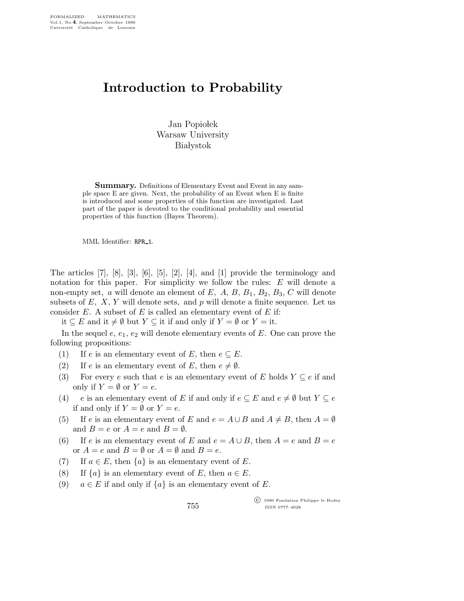## Introduction to Probability

Jan Popiołek Warsaw University **Białystok** 

**Summary.** Definitions of Elementary Event and Event in any sample space E are given. Next, the probability of an Event when E is finite is introduced and some properties of this function are investigated. Last part of the paper is devoted to the conditional probability and essential properties of this function (Bayes Theorem).

MML Identifier: RPR\_1.

The articles  $[7], [8], [3], [6], [5], [2], [4]$ , and  $[1]$  provide the terminology and notation for this paper. For simplicity we follow the rules: E will denote a non-empty set, a will denote an element of E, A, B,  $B_1$ ,  $B_2$ ,  $B_3$ , C will denote subsets of  $E, X, Y$  will denote sets, and p will denote a finite sequence. Let us consider  $E$ . A subset of  $E$  is called an elementary event of  $E$  if:

it ⊆ E and it  $\neq \emptyset$  but Y ⊆ it if and only if Y =  $\emptyset$  or Y = it.

In the sequel  $e, e_1, e_2$  will denote elementary events of E. One can prove the following propositions:

- (1) If e is an elementary event of E, then  $e \subseteq E$ .
- (2) If e is an elementary event of E, then  $e \neq \emptyset$ .
- (3) For every e such that e is an elementary event of E holds  $Y \subseteq e$  if and only if  $Y = \emptyset$  or  $Y = e$ .
- (4) e is an elementary event of E if and only if  $e \subseteq E$  and  $e \neq \emptyset$  but  $Y \subseteq e$ if and only if  $Y = \emptyset$  or  $Y = e$ .
- (5) If e is an elementary event of E and  $e = A \cup B$  and  $A \neq B$ , then  $A = \emptyset$ and  $B = e$  or  $A = e$  and  $B = \emptyset$ .
- (6) If e is an elementary event of E and  $e = A \cup B$ , then  $A = e$  and  $B = e$ or  $A = e$  and  $B = \emptyset$  or  $A = \emptyset$  and  $B = e$ .
- (7) If  $a \in E$ , then  $\{a\}$  is an elementary event of E.
- (8) If  $\{a\}$  is an elementary event of E, then  $a \in E$ .
- (9)  $a \in E$  if and only if  $\{a\}$  is an elementary event of E.

755

 c 1990 Fondation Philippe le Hodey ISSN 0777–4028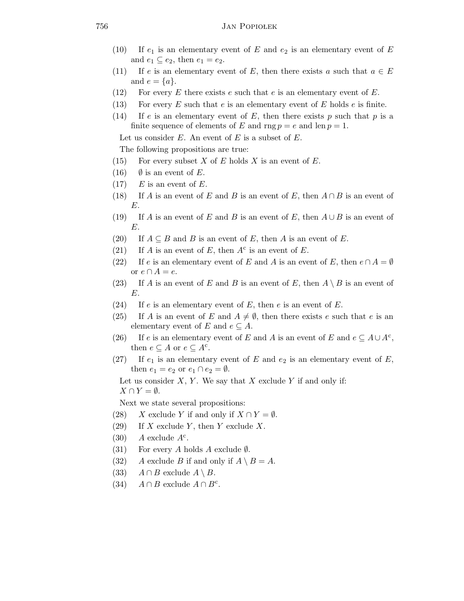- (10) If  $e_1$  is an elementary event of E and  $e_2$  is an elementary event of E and  $e_1 \subseteq e_2$ , then  $e_1 = e_2$ .
- (11) If e is an elementary event of E, then there exists a such that  $a \in E$ and  $e = \{a\}.$
- (12) For every E there exists e such that e is an elementary event of E.
- (13) For every  $E$  such that  $e$  is an elementary event of  $E$  holds  $e$  is finite.
- (14) If e is an elementary event of E, then there exists p such that p is a finite sequence of elements of E and rng  $p = e$  and len  $p = 1$ .

Let us consider  $E$ . An event of  $E$  is a subset of  $E$ .

The following propositions are true:

- (15) For every subset X of E holds X is an event of E.
- (16)  $\emptyset$  is an event of E.
- $(17)$  E is an event of E.
- (18) If A is an event of E and B is an event of E, then  $A \cap B$  is an event of E.
- (19) If A is an event of E and B is an event of E, then  $A \cup B$  is an event of E.
- (20) If  $A \subseteq B$  and B is an event of E, then A is an event of E.
- (21) If A is an event of E, then  $A^c$  is an event of E.
- (22) If e is an elementary event of E and A is an event of E, then  $e \cap A = \emptyset$ or  $e \cap A = e$ .
- (23) If A is an event of E and B is an event of E, then  $A \setminus B$  is an event of E.
- (24) If  $e$  is an elementary event of  $E$ , then  $e$  is an event of  $E$ .
- (25) If A is an event of E and  $A \neq \emptyset$ , then there exists e such that e is an elementary event of E and  $e \subseteq A$ .
- (26) If e is an elementary event of E and A is an event of E and  $e \subseteq A \cup A^c$ , then  $e \subseteq A$  or  $e \subseteq A^c$ .
- (27) If  $e_1$  is an elementary event of E and  $e_2$  is an elementary event of E, then  $e_1 = e_2$  or  $e_1 \cap e_2 = \emptyset$ .
	- Let us consider  $X, Y$ . We say that  $X$  exclude  $Y$  if and only if:  $X \cap Y = \emptyset$ .

Next we state several propositions:

- (28) X exclude Y if and only if  $X \cap Y = \emptyset$ .
- (29) If X exclude Y, then Y exclude X.
- $(30)$  A exclude  $A<sup>c</sup>$ .
- (31) For every A holds A exclude  $\emptyset$ .
- (32) A exclude B if and only if  $A \setminus B = A$ .
- (33)  $A \cap B$  exclude  $A \setminus B$ .
- (34)  $A \cap B$  exclude  $A \cap B^c$ .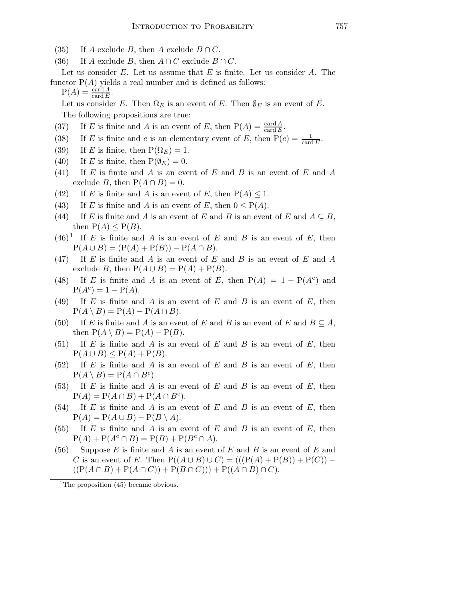- (35) If A exclude B, then A exclude  $B \cap C$ .
- (36) If A exclude B, then  $A \cap C$  exclude  $B \cap C$ .
- Let us consider  $E$ . Let us assume that  $E$  is finite. Let us consider  $A$ . The functor  $P(A)$  yields a real number and is defined as follows:
	- $P(A) = \frac{\text{card } A}{\text{card } E}.$

Let us consider E. Then  $\Omega_E$  is an event of E. Then  $\emptyset_E$  is an event of E. The following propositions are true:

- (37) If E is finite and A is an event of E, then  $P(A) = \frac{\text{card } A}{\text{card } E}$ .
- (38) If E is finite and e is an elementary event of E, then  $P(e) = \frac{1}{\text{card }E}$ .
- (39) If E is finite, then  $P(\Omega_E) = 1$ .
- (40) If E is finite, then  $P(\emptyset_E) = 0$ .
- (41) If E is finite and A is an event of E and B is an event of E and A exclude B, then  $P(A \cap B) = 0$ .
- (42) If E is finite and A is an event of E, then  $P(A) \leq 1$ .
- (43) If E is finite and A is an event of E, then  $0 \leq P(A)$ .
- (44) If E is finite and A is an event of E and B is an event of E and  $A \subseteq B$ , then  $P(A) \leq P(B)$ .
- $(46)^{1}$  If E is finite and A is an event of E and B is an event of E, then  $P(A \cup B) = (P(A) + P(B)) - P(A \cap B).$
- $(47)$  If E is finite and A is an event of E and B is an event of E and A exclude B, then  $P(A \cup B) = P(A) + P(B)$ .
- (48) If E is finite and A is an event of E, then  $P(A) = 1 P(A^c)$  and  $P(A^{c}) = 1 - P(A).$
- (49) If  $E$  is finite and  $A$  is an event of  $E$  and  $B$  is an event of  $E$ , then  $P(A \setminus B) = P(A) - P(A \cap B).$
- (50) If E is finite and A is an event of E and B is an event of E and  $B \subseteq A$ , then  $P(A \setminus B) = P(A) - P(B)$ .
- (51) If E is finite and A is an event of E and B is an event of E, then  $P(A \cup B) \leq P(A) + P(B).$
- $(52)$  If E is finite and A is an event of E and B is an event of E, then  $P(A \setminus B) = P(A \cap B^c).$
- (53) If E is finite and A is an event of E and B is an event of E, then  $P(A) = P(A \cap B) + P(A \cap B^c).$
- $(54)$  If E is finite and A is an event of E and B is an event of E, then  $P(A) = P(A \cup B) - P(B \setminus A).$
- $(55)$  If E is finite and A is an event of E and B is an event of E, then  $P(A) + P(A^c \cap B) = P(B) + P(B^c \cap A).$
- (56) Suppose  $E$  is finite and  $A$  is an event of  $E$  and  $B$  is an event of  $E$  and C is an event of E. Then  $P((A \cup B) \cup C) = (((P(A) + P(B)) + P(C)) ((P(A \cap B) + P(A \cap C)) + P(B \cap C))) + P((A \cap B) \cap C).$

<sup>1</sup>The proposition  $(45)$  became obvious.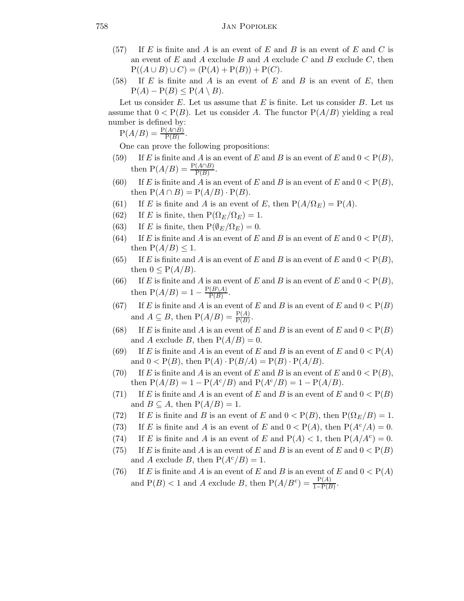- (57) If E is finite and A is an event of E and B is an event of E and C is an event of  $E$  and  $A$  exclude  $B$  and  $A$  exclude  $C$  and  $B$  exclude  $C$ , then  $P((A \cup B) \cup C) = (P(A) + P(B)) + P(C).$
- (58) If E is finite and A is an event of E and B is an event of E, then  $P(A) - P(B) \leq P(A \setminus B).$

Let us consider  $E$ . Let us assume that  $E$  is finite. Let us consider  $B$ . Let us assume that  $0 < P(B)$ . Let us consider A. The functor  $P(A/B)$  yielding a real number is defined by:

 $P(A/B) = \frac{P(A \cap B)}{P(B)}$ .

One can prove the following propositions:

- (59) If E is finite and A is an event of E and B is an event of E and  $0 < P(B)$ , then  $P(A/B) = \frac{P(A \cap B)}{P(B)}$ .
- (60) If E is finite and A is an event of E and B is an event of E and  $0 < P(B)$ , then  $P(A \cap B) = P(A/B) \cdot P(B)$ .
- (61) If E is finite and A is an event of E, then  $P(A/\Omega_E) = P(A)$ .
- (62) If E is finite, then  $P(\Omega_E/\Omega_E) = 1$ .
- (63) If E is finite, then  $P(\emptyset_F/\Omega_F) = 0$ .
- (64) If E is finite and A is an event of E and B is an event of E and  $0 < P(B)$ , then  $P(A/B) \leq 1$ .
- (65) If E is finite and A is an event of E and B is an event of E and  $0 < P(B)$ , then  $0 \leq P(A/B)$ .
- (66) If E is finite and A is an event of E and B is an event of E and  $0 < P(B)$ , then  $P(A/B) = 1 - \frac{P(B \setminus A)}{P(B)}$  $\frac{(D \setminus A)}{P(B)}$ .
- (67) If E is finite and A is an event of E and B is an event of E and  $0 < P(B)$ and  $A \subseteq B$ , then  $P(A/B) = \frac{P(A)}{P(B)}$ .
- (68) If E is finite and A is an event of E and B is an event of E and  $0 < P(B)$ and A exclude B, then  $P(A/B) = 0$ .
- (69) If E is finite and A is an event of E and B is an event of E and  $0 < P(A)$ and  $0 < P(B)$ , then  $P(A) \cdot P(B/A) = P(B) \cdot P(A/B)$ .
- (70) If E is finite and A is an event of E and B is an event of E and  $0 < P(B)$ , then  $P(A/B) = 1 - P(A<sup>c</sup>/B)$  and  $P(A<sup>c</sup>/B) = 1 - P(A/B)$ .
- (71) If E is finite and A is an event of E and B is an event of E and  $0 < P(B)$ and  $B \subseteq A$ , then  $P(A/B) = 1$ .
- (72) If E is finite and B is an event of E and  $0 < P(B)$ , then  $P(\Omega_E/B) = 1$ .
- (73) If E is finite and A is an event of E and  $0 < P(A)$ , then  $P(A<sup>c</sup>/A) = 0$ .
- (74) If E is finite and A is an event of E and  $P(A) < 1$ , then  $P(A/A<sup>c</sup>) = 0$ .
- (75) If E is finite and A is an event of E and B is an event of E and  $0 < P(B)$ and A exclude B, then  $P(A<sup>c</sup>/B) = 1$ .
- (76) If E is finite and A is an event of E and B is an event of E and  $0 < P(A)$ and  $P(B) < 1$  and A exclude B, then  $P(A/B<sup>c</sup>) = \frac{P(A)}{1-P(B)}$ .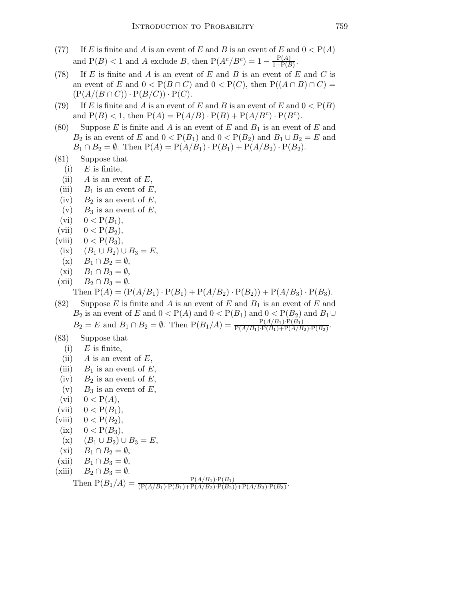- (77) If E is finite and A is an event of E and B is an event of E and  $0 < P(A)$ and  $P(B) < 1$  and A exclude B, then  $P(A<sup>c</sup>/B<sup>c</sup>) = 1 - \frac{P(A)}{1 - P(B)}$  $\frac{\Gamma(A)}{1-\mathrm{P}(B)}$ .
- (78) If E is finite and A is an event of E and B is an event of E and C is an event of E and  $0 < P(B \cap C)$  and  $0 < P(C)$ , then  $P((A \cap B) \cap C) =$  $(P(A/(B \cap C)) \cdot P(B/C)) \cdot P(C).$
- (79) If E is finite and A is an event of E and B is an event of E and  $0 < P(B)$ and  $P(B) < 1$ , then  $P(A) = P(A/B) \cdot P(B) + P(A/B^c) \cdot P(B^c)$ .
- (80) Suppose E is finite and A is an event of E and  $B_1$  is an event of E and  $B_2$  is an event of E and  $0 < P(B_1)$  and  $0 < P(B_2)$  and  $B_1 \cup B_2 = E$  and  $B_1 \cap B_2 = \emptyset$ . Then  $P(A) = P(A/B_1) \cdot P(B_1) + P(A/B_2) \cdot P(B_2)$ .
- (81) Suppose that
	- $(i)$  E is finite,
	- (ii) A is an event of  $E$ ,
	- (iii)  $B_1$  is an event of E,
	- $(iv)$   $B_2$  is an event of E,
	- (v)  $B_3$  is an event of E,
	- (vi)  $0 < P(B_1)$ ,
- (vii)  $0 < P(B_2)$ ,
- (viii)  $0 < P(B_3)$ ,
- (ix)  $(B_1 \cup B_2) \cup B_3 = E$ ,
- $(x)$   $B_1 \cap B_2 = \emptyset$ ,
- (xi)  $B_1 \cap B_3 = \emptyset$ ,
- (xii)  $B_2 \cap B_3 = \emptyset$ . Then  $P(A) = (P(A/B_1) \cdot P(B_1) + P(A/B_2) \cdot P(B_2)) + P(A/B_3) \cdot P(B_3)$ .
- (82) Suppose E is finite and A is an event of E and  $B_1$  is an event of E and  $B_2$  is an event of E and  $0 < P(A)$  and  $0 < P(B_1)$  and  $0 < P(B_2)$  and  $B_1 \cup$  $B_2 = E$  and  $B_1 \cap B_2 = \emptyset$ . Then  $P(B_1/A) = \frac{P(A/B_1) \cdot P(B_1)}{P(A/B_1) \cdot P(B_1) + P(A/B_2) \cdot P(B_2)}$ .

## (83) Suppose that

- $(i)$  E is finite,
- (ii)  $A$  is an event of  $E$ ,
- (iii)  $B_1$  is an event of E,
- (iv)  $B_2$  is an event of E,
- (v)  $B_3$  is an event of E,
- (vi)  $0 < P(A)$ ,
- (vii)  $0 < P(B_1)$ ,
- (viii)  $0 < P(B_2)$ ,
- (ix)  $0 < P(B_3)$ ,
- (x)  $(B_1 \cup B_2) \cup B_3 = E$ ,
- $(xi)$   $B_1 \cap B_2 = \emptyset$ ,
- (xii)  $B_1 \cap B_3 = \emptyset$ ,

(xiii)  $B_2 \cap B_3 = \emptyset$ .

Then 
$$
P(B_1/A) = \frac{P(A/B_1) \cdot P(B_1)}{(P(A/B_1) \cdot P(B_1) + P(A/B_2) \cdot P(B_2)) + P(A/B_3) \cdot P(B_3)}
$$
.